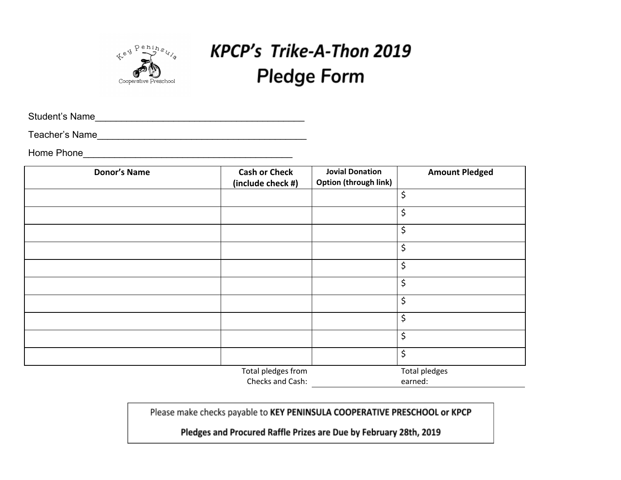

# **KPCP's Trike-A-Thon 2019 Pledge Form**

Student's Name\_\_\_\_\_\_\_\_\_\_\_\_\_\_\_\_\_\_\_\_\_\_\_\_\_\_\_\_\_\_\_\_\_\_\_\_\_\_\_\_

Teacher's Name\_\_\_\_\_\_\_\_\_\_\_\_\_\_\_\_\_\_\_\_\_\_\_\_\_\_\_\_\_\_\_\_\_\_\_\_\_\_\_\_

Home Phone\_\_\_\_\_\_\_\_\_\_\_\_\_\_\_\_\_\_\_\_\_\_\_\_\_\_\_\_\_\_\_\_\_\_\_\_\_\_\_\_

| <b>Donor's Name</b> | <b>Cash or Check</b><br>(include check #)                                                                                             | <b>Jovial Donation</b><br><b>Option (through link)</b> | <b>Amount Pledged</b> |
|---------------------|---------------------------------------------------------------------------------------------------------------------------------------|--------------------------------------------------------|-----------------------|
|                     |                                                                                                                                       |                                                        | \$                    |
|                     |                                                                                                                                       |                                                        | \$                    |
|                     |                                                                                                                                       |                                                        | \$                    |
|                     |                                                                                                                                       |                                                        | \$                    |
|                     |                                                                                                                                       |                                                        | \$                    |
|                     |                                                                                                                                       |                                                        | \$                    |
|                     |                                                                                                                                       |                                                        | \$                    |
|                     |                                                                                                                                       |                                                        | \$                    |
|                     |                                                                                                                                       |                                                        | \$                    |
|                     |                                                                                                                                       |                                                        | \$                    |
|                     | Total pledges from<br>the contract of the contract of the contract of the contract of the contract of the contract of the contract of |                                                        | <b>Total pledges</b>  |

Checks and Cash: earned:

Please make checks payable to KEY PENINSULA COOPERATIVE PRESCHOOL or KPCP

Pledges and Procured Raffle Prizes are Due by February 28th, 2019